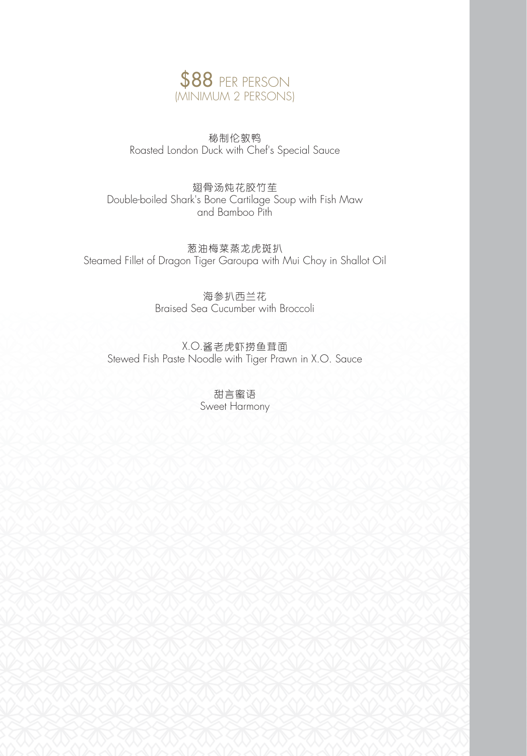

秘制伦敦鸭 Roasted London Duck with Chef's Special Sauce

翅骨汤炖花胶竹苼 Double-boiled Shark's Bone Cartilage Soup with Fish Maw and Bamboo Pith

葱油梅菜蒸龙虎斑扒 Steamed Fillet of Dragon Tiger Garoupa with Mui Choy in Shallot Oil

> 海参扒西兰花 Braised Sea Cucumber with Broccoli

X.O.酱老虎虾捞鱼茸面 Stewed Fish Paste Noodle with Tiger Prawn in X.O. Sauce

> 甜言蜜语 Sweet Harmony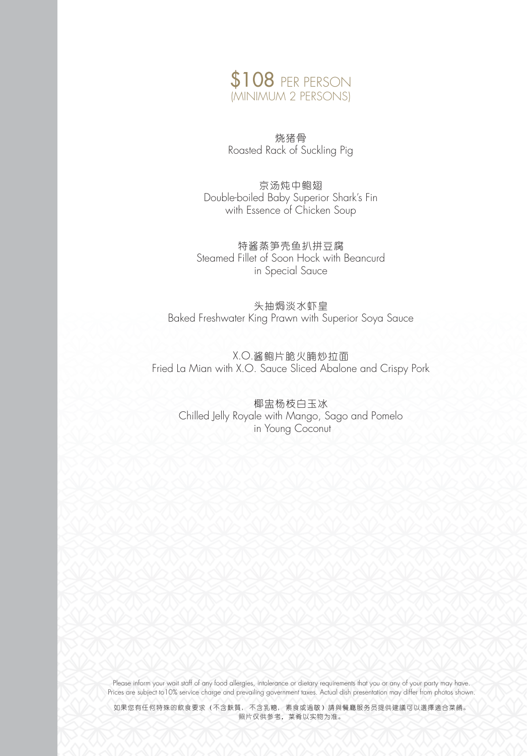

烧猪骨 Roasted Rack of Suckling Pig

京汤炖中鲍翅 Double-boiled Baby Superior Shark's Fin with Essence of Chicken Soup

特酱蒸笋壳鱼扒拼豆腐 Steamed Fillet of Soon Hock with Beancurd in Special Sauce

头抽焗淡水虾皇 Baked Freshwater King Prawn with Superior Soya Sauce

X.O.酱鲍片脆火腩炒拉面 Fried La Mian with X.O. Sauce Sliced Abalone and Crispy Pork

椰盅杨枝白玉冰 Chilled Jelly Royale with Mango, Sago and Pomelo in Young Coconut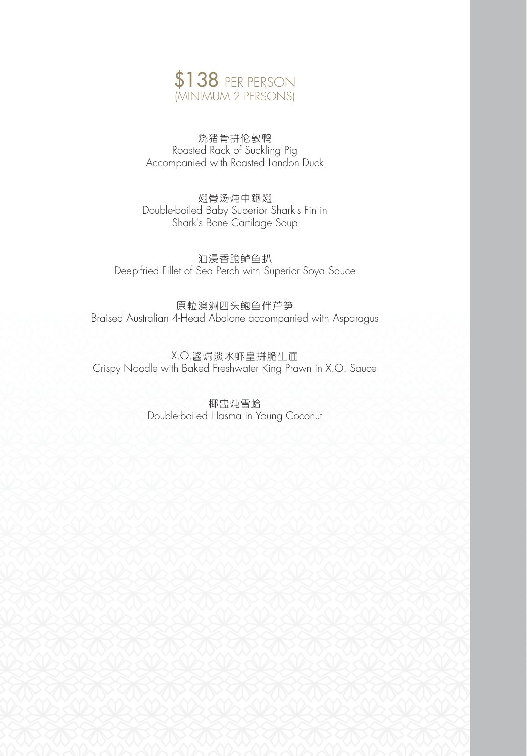

烧猪骨拼伦敦鸭 Roasted Rack of Suckling Pig Accompanied with Roasted London Duck

翅骨汤炖中鲍翅 Double-boiled Baby Superior Shark's Fin in Shark's Bone Cartilage Soup

油浸香脆鲈鱼扒 Deep-fried Fillet of Sea Perch with Superior Soya Sauce

原粒澳洲四头鲍鱼伴芦笋 Braised Australian 4-Head Abalone accompanied with Asparagus

X.O.酱焗淡水虾皇拼脆生面 Crispy Noodle with Baked Freshwater King Prawn in X.O. Sauce

> 椰盅炖雪蛤 Double-boiled Hasma in Young Coconut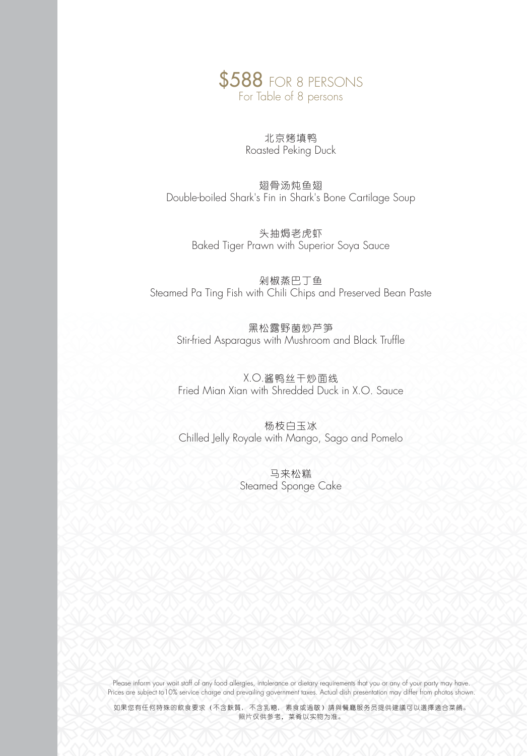

# 北京烤填鸭 Roasted Peking Duck

翅骨汤炖鱼翅 Double-boiled Shark's Fin in Shark's Bone Cartilage Soup

> 头抽焗老虎虾 Baked Tiger Prawn with Superior Soya Sauce

剁椒蒸巴丁鱼 Steamed Pa Ting Fish with Chili Chips and Preserved Bean Paste

黑松露野菌炒芦笋 Stir-fried Asparagus with Mushroom and Black Truffle

X.O.酱鸭丝干炒面线 Fried Mian Xian with Shredded Duck in X.O. Sauce

杨枝白玉冰 Chilled Jelly Royale with Mango, Sago and Pomelo

> 马来松糕 Steamed Sponge Cake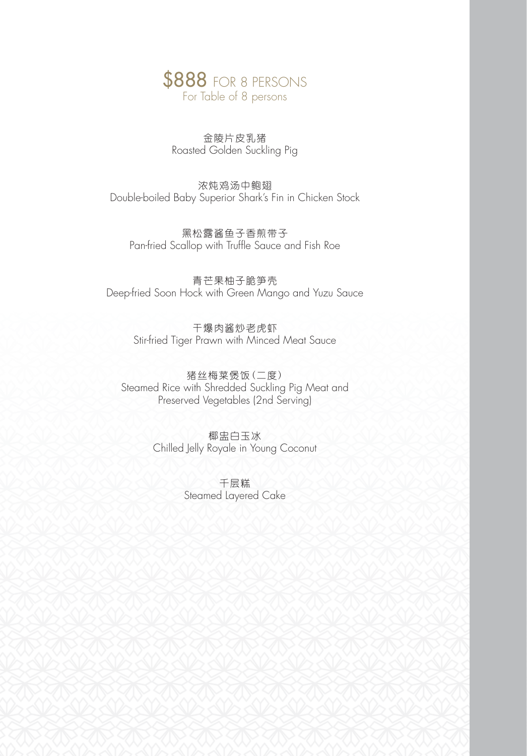

金陵片皮乳猪 Roasted Golden Suckling Pig

浓炖鸡汤中鲍翅 Double-boiled Baby Superior Shark's Fin in Chicken Stock

黑松露酱鱼子香煎带子 Pan-fried Scallop with Truffle Sauce and Fish Roe

青芒果柚子脆笋壳 Deep-fried Soon Hock with Green Mango and Yuzu Sauce

> 干爆肉酱炒老虎虾 Stir-fried Tiger Prawn with Minced Meat Sauce

猪丝梅菜煲饭(二度) Steamed Rice with Shredded Suckling Pig Meat and Preserved Vegetables (2nd Serving)

> 椰盅白玉冰 Chilled Jelly Royale in Young Coconut

> > 千层糕 Steamed Layered Cake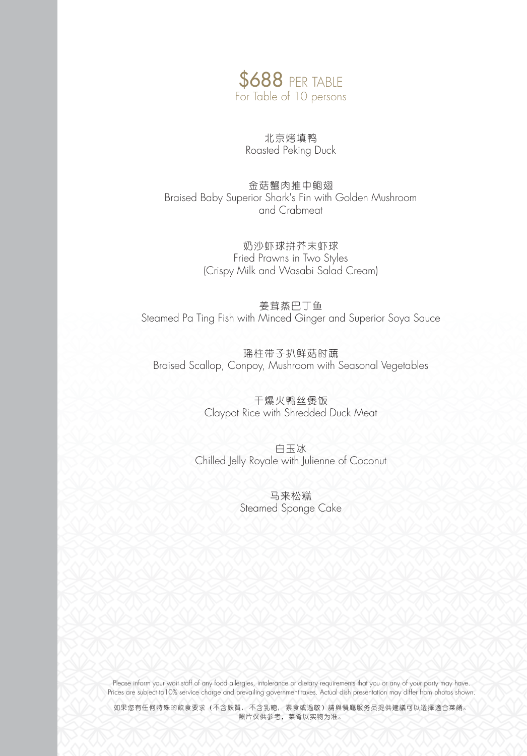

北京烤填鸭 Roasted Peking Duck

金菇蟹肉推中鲍翅 Braised Baby Superior Shark's Fin with Golden Mushroom and Crabmeat

> 奶沙虾球拼芥末虾球 Fried Prawns in Two Styles (Crispy Milk and Wasabi Salad Cream)

姜茸蒸巴丁鱼 Steamed Pa Ting Fish with Minced Ginger and Superior Soya Sauce

瑶柱带子扒鲜菇时蔬 Braised Scallop, Conpoy, Mushroom with Seasonal Vegetables

> 干爆火鸭丝煲饭 Claypot Rice with Shredded Duck Meat

白玉冰 Chilled Jelly Royale with Julienne of Coconut

> 马来松糕 Steamed Sponge Cake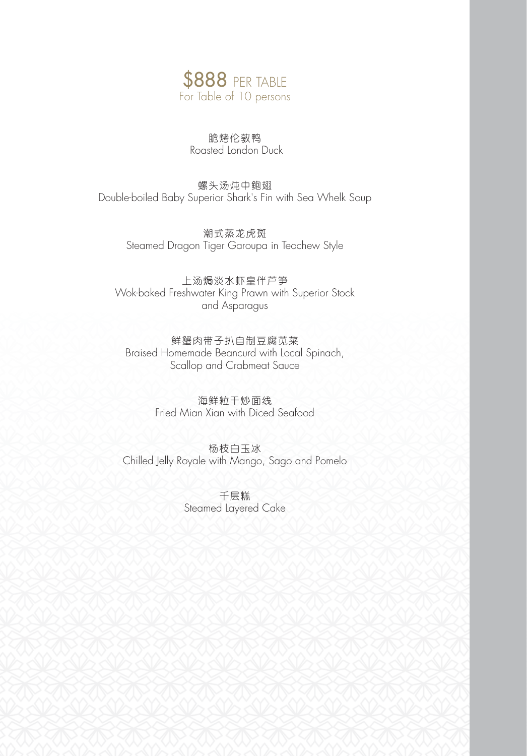

脆烤伦敦鸭 Roasted London Duck

螺头汤炖中鲍翅 Double-boiled Baby Superior Shark's Fin with Sea Whelk Soup

> 潮式蒸龙虎斑 Steamed Dragon Tiger Garoupa in Teochew Style

上汤焗淡水虾皇伴芦笋 Wok-baked Freshwater King Prawn with Superior Stock and Asparagus

鲜蟹肉带子扒自制豆腐苋菜 Braised Homemade Beancurd with Local Spinach, Scallop and Crabmeat Sauce

> 海鲜粒干炒面线 Fried Mian Xian with Diced Seafood

杨枝白玉冰 Chilled Jelly Royale with Mango, Sago and Pomelo

> 千层糕 Steamed Layered Cake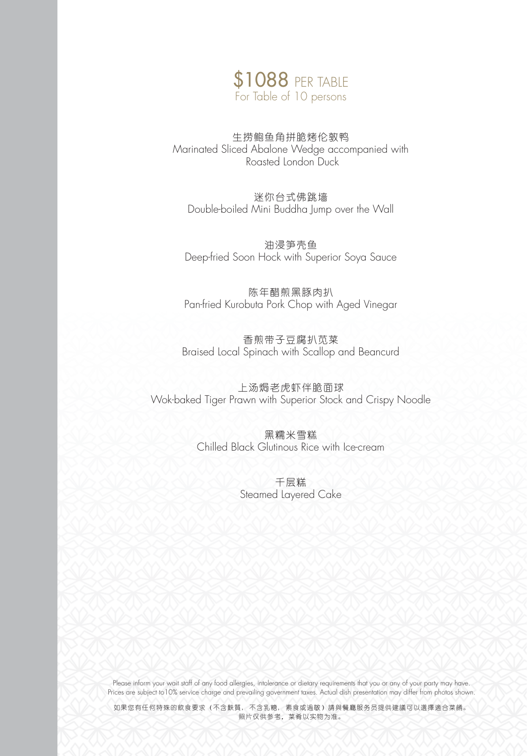

## 生捞鲍鱼角拼脆烤伦敦鸭 Marinated Sliced Abalone Wedge accompanied with Roasted London Duck

迷你台式佛跳墙 Double-boiled Mini Buddha Jump over the Wall

油浸笋壳鱼 Deep-fried Soon Hock with Superior Soya Sauce

陈年醋煎黑豚肉扒 Pan-fried Kurobuta Pork Chop with Aged Vinegar

香煎带子豆腐扒苋菜 Braised Local Spinach with Scallop and Beancurd

上汤焗老虎虾伴脆面球 Wok-baked Tiger Prawn with Superior Stock and Crispy Noodle

> 黑糯米雪糕 Chilled Black Glutinous Rice with Ice-cream

> > 千层糕 Steamed Layered Cake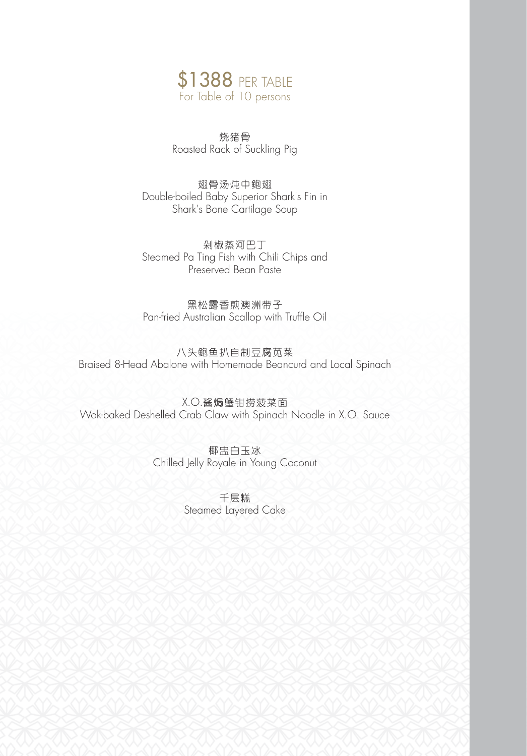

烧猪骨 Roasted Rack of Suckling Pig

翅骨汤炖中鲍翅 Double-boiled Baby Superior Shark's Fin in Shark's Bone Cartilage Soup

剁椒蒸河巴丁 Steamed Pa Ting Fish with Chili Chips and Preserved Bean Paste

黑松露香煎澳洲带子 Pan-fried Australian Scallop with Truffle Oil

八头鲍鱼扒自制豆腐苋菜 Braised 8-Head Abalone with Homemade Beancurd and Local Spinach

X.O.酱焗蟹钳捞菠菜面 Wok-baked Deshelled Crab Claw with Spinach Noodle in X.O. Sauce

> 椰盅白玉冰 Chilled Jelly Royale in Young Coconut

> > 千层糕 Steamed Layered Cake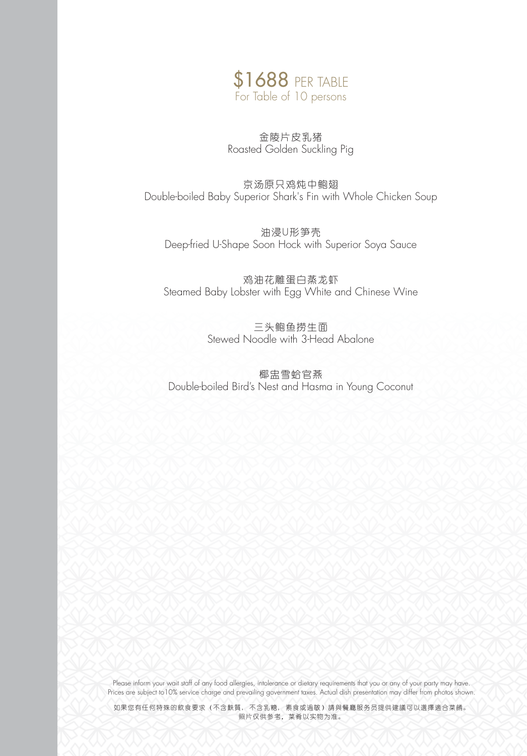

金陵片皮乳猪 Roasted Golden Suckling Pig

京汤原只鸡炖中鲍翅 Double-boiled Baby Superior Shark's Fin with Whole Chicken Soup

油浸U形笋壳 Deep-fried U-Shape Soon Hock with Superior Soya Sauce

鸡油花雕蛋白蒸龙虾 Steamed Baby Lobster with Egg White and Chinese Wine

> 三头鲍鱼捞生面 Stewed Noodle with 3-Head Abalone

椰盅雪蛤官燕 Double-boiled Bird's Nest and Hasma in Young Coconut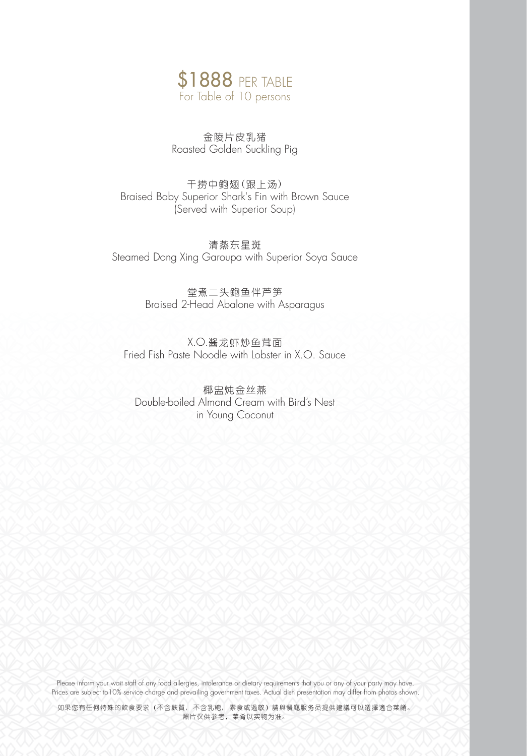

金陵片皮乳猪 Roasted Golden Suckling Pig

干捞中鲍翅(跟上汤) Braised Baby Superior Shark's Fin with Brown Sauce (Served with Superior Soup)

清蒸东星斑 Steamed Dong Xing Garoupa with Superior Soya Sauce

> 堂煮二头鲍鱼伴芦笋 Braised 2-Head Abalone with Asparagus

X.O.酱龙虾炒鱼茸面 Fried Fish Paste Noodle with Lobster in X.O. Sauce

椰盅炖金丝燕 Double-boiled Almond Cream with Bird's Nest in Young Coconut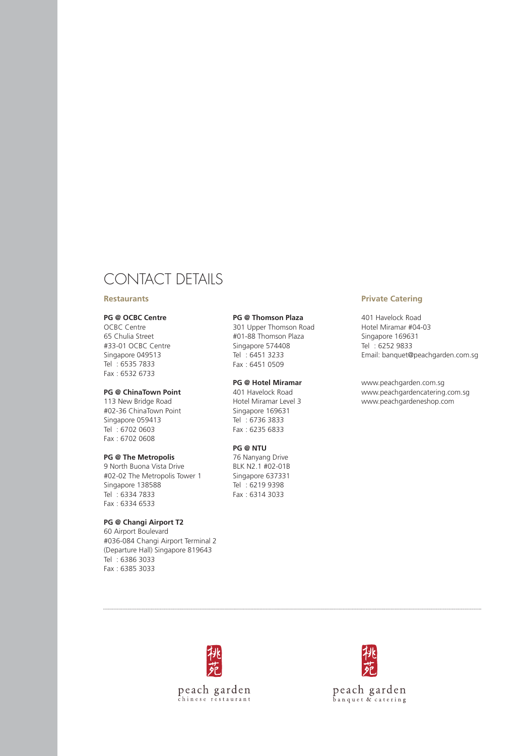# CONTACT DETAILS

### **Restaurants**

#### **PG @ OCBC Centre**

OCBC Centre 65 Chulia Street #33-01 OCBC Centre Singapore 049513 Tel : 6535 7833 Fax : 6532 6733

#### **PG @ ChinaTown Point**

113 New Bridge Road #02-36 ChinaTown Point Singapore 059413 Tel : 6702 0603 Fax : 6702 0608

## **PG @ The Metropolis**

9 North Buona Vista Drive #02-02 The Metropolis Tower 1 Singapore 138588 Tel : 6334 7833 Fax : 6334 6533

## **PG @ Changi Airport T2**

60 Airport Boulevard #036-084 Changi Airport Terminal 2 (Departure Hall) Singapore 819643 Tel : 6386 3033 Fax : 6385 3033

## **PG @ Thomson Plaza**

301 Upper Thomson Road #01-88 Thomson Plaza Singapore 574408 Tel : 6451 3233 Fax : 6451 0509

#### **PG @ Hotel Miramar**

401 Havelock Road Hotel Miramar Level 3 Singapore 169631 Tel : 6736 3833 Fax : 6235 6833

#### **PG @ NTU**

76 Nanyang Drive BLK N2.1 #02-01B Singapore 637331 Tel : 6219 9398 Fax : 6314 3033

#### **Private Catering**

401 Havelock Road Hotel Miramar #04-03 Singapore 169631 Tel : 6252 9833 Email: banquet@peachgarden.com.sg

www.peachgarden.com.sg www.peachgardencatering.com.sg www.peachgardeneshop.com